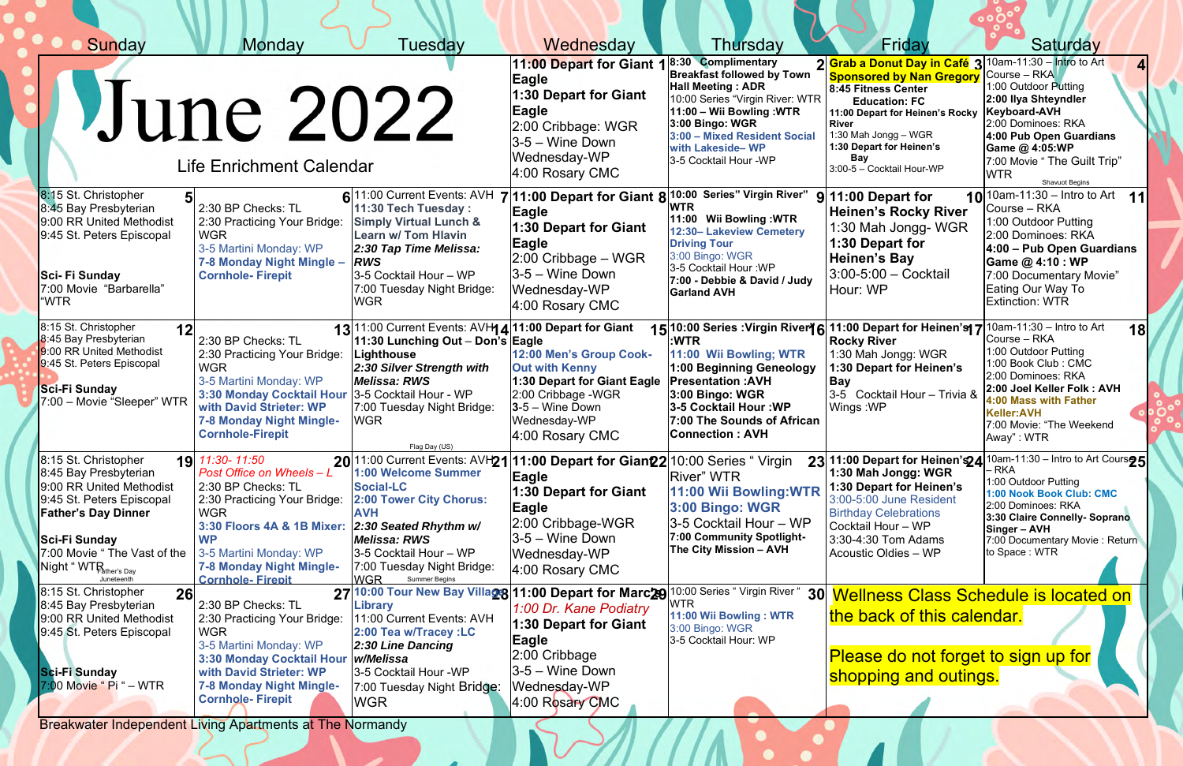| Sunday                                                                                                                                                                                                         | <b>Monday</b>                                                                                                                                                                                                                               | Tuesday                                                                                                                                                                                                                                                                                                                                 | Wednesday                                                                                                                                                     | Thursday                                                                                                                                                                                                                                                                              | Friday                                                                                                                                                                                                                                                                                     | Saturday                                                                                                                                                                                                                                                  |
|----------------------------------------------------------------------------------------------------------------------------------------------------------------------------------------------------------------|---------------------------------------------------------------------------------------------------------------------------------------------------------------------------------------------------------------------------------------------|-----------------------------------------------------------------------------------------------------------------------------------------------------------------------------------------------------------------------------------------------------------------------------------------------------------------------------------------|---------------------------------------------------------------------------------------------------------------------------------------------------------------|---------------------------------------------------------------------------------------------------------------------------------------------------------------------------------------------------------------------------------------------------------------------------------------|--------------------------------------------------------------------------------------------------------------------------------------------------------------------------------------------------------------------------------------------------------------------------------------------|-----------------------------------------------------------------------------------------------------------------------------------------------------------------------------------------------------------------------------------------------------------|
|                                                                                                                                                                                                                | June 2022<br><b>Life Enrichment Calendar</b>                                                                                                                                                                                                |                                                                                                                                                                                                                                                                                                                                         | 11:00 Depart for Giant 1<br>Eagle<br>1:30 Depart for Giant<br>Eagle<br>2:00 Cribbage: WGR<br>3-5 – Wine Down<br>Wednesday-WP<br>4:00 Rosary CMC               | 8:30 Complimentary<br><b>Breakfast followed by Town</b><br><b>Hall Meeting: ADR</b><br>10:00 Series "Virgin River: WTR<br>11:00 - Wii Bowling :WTR<br>3:00 Bingo: WGR<br>3:00 - Mixed Resident Social<br>with Lakeside-WP<br>3-5 Cocktail Hour -WP                                    | 2 Grab a Donut Day in Café 3 10am-11:30 - Intro to Art<br><b>Sponsored by Nan Gregory</b><br>8:45 Fitness Center<br><b>Education: FC</b><br>11:00 Depart for Heinen's Rocky<br><b>River</b><br>1:30 Mah Jongg - WGR<br>1:30 Depart for Heinen's<br><b>Bay</b><br>3:00-5 - Cocktail Hour-WP | Course – RKA<br>1:00 Outdoor Putting<br>2:00 Ilya Shteyndler<br><b>Keyboard-AVH</b><br>2:00 Dominoes: RKA<br>4:00 Pub Open Guardians<br>Game @ 4:05:WP<br>7:00 Movie " The Guilt Trip"<br><b>WTR</b><br>Shavuot Begins                                    |
| 8:15 St. Christopher<br>8:45 Bay Presbyterian<br>9:00 RR United Methodist<br>9:45 St. Peters Episcopal<br>Sci-Fi Sunday<br>7:00 Movie "Barbarella"<br>"WTR                                                     | 2:30 BP Checks: TL<br>2:30 Practicing Your Bridge:<br><b>WGR</b><br>3-5 Martini Monday: WP<br>7-8 Monday Night Mingle -<br><b>Cornhole-Firepit</b>                                                                                          | $6 11:00$ Current Events: AVH $7 11:00$ Depart for Giant $8 10:00$ Series" Virgin River"<br>11:30 Tech Tuesday:<br><b>Simply Virtual Lunch &amp;</b><br><b>Learn w/ Tom Hlavin</b><br>2:30 Tap Time Melissa:<br><b>RWS</b><br>3-5 Cocktail Hour - WP<br>7:00 Tuesday Night Bridge:<br><b>WGR</b>                                        | Eagle<br>1:30 Depart for Giant<br>Eagle<br>$ 2:00$ Cribbage – WGR<br>$ 3-5 -$ Wine Down<br>Wednesday-WP<br>4:00 Rosary CMC                                    | <b>WTR</b><br>11:00 Wii Bowling: WTR<br>12:30- Lakeview Cemetery<br><b>Driving Tour</b><br>3:00 Bingo: WGR<br>3-5 Cocktail Hour: WP<br>7:00 - Debbie & David / Judy<br><b>Garland AVH</b>                                                                                             | $9$ 11:00 Depart for<br><b>Heinen's Rocky River</b><br>1:30 Mah Jongg-WGR<br>1:30 Depart for<br><b>Heinen's Bay</b><br>$3:00 - 5:00 - \text{Cocktail}$<br>Hour: WP                                                                                                                         | <b>10</b> 10am-11:30 – Intro to Art<br>11<br>Course – RKA<br>1:00 Outdoor Putting<br>2:00 Dominoes: RKA<br>4:00 - Pub Open Guardians<br>Game @ 4:10 : WP<br>7:00 Documentary Movie"<br>Eating Our Way To<br><b>Extinction: WTR</b>                        |
| 8:15 St. Christopher<br>12 <sup>l</sup><br>8:45 Bay Presbyterian<br>9:00 RR United Methodist<br>9:45 St. Peters Episcopal<br>Sci-Fi Sunday<br>7:00 - Movie "Sleeper" WTR                                       | 2:30 BP Checks: TL<br>2:30 Practicing Your Bridge:<br><b>WGR</b><br>3-5 Martini Monday: WP<br>3:30 Monday Cocktail Hour 3-5 Cocktail Hour - WP<br>with David Strieter: WP<br><b>7-8 Monday Night Mingle-</b><br><b>Cornhole-Firepit</b>     | 13 11:00 Current Events: AVH 4 11:00 Depart for Giant<br>11:30 Lunching Out - Don's Eagle<br>Lighthouse<br>2:30 Silver Strength with<br><b>Melissa: RWS</b><br>7:00 Tuesday Night Bridge:<br><b>WGR</b><br>Flag Day (US)                                                                                                                | 12:00 Men's Group Cook-<br><b>Out with Kenny</b><br>1:30 Depart for Giant Eagle<br>2:00 Cribbage -WGR<br>$3-5$ – Wine Down<br>Wednesday-WP<br>4:00 Rosary CMC | 15 10:00 Series : Virgin River 6 11:00 Depart for Heinen's 7 10am-11:30 - Intro to Art<br>:WTR<br>11:00 Wii Bowling; WTR<br>1:00 Beginning Geneology<br><b>Presentation: AVH</b><br>3:00 Bingo: WGR<br>3-5 Cocktail Hour: WP<br>7:00 The Sounds of African<br><b>Connection : AVH</b> | <b>Rocky River</b><br>1:30 Mah Jongg: WGR<br>1:30 Depart for Heinen's<br><b>Bay</b><br>3-5 Cocktail Hour - Trivia &<br>Wings: WP                                                                                                                                                           | <b>18</b><br>Course - RKA<br>1:00 Outdoor Putting<br>1:00 Book Club: CMC<br>2:00 Dominoes: RKA<br>2:00 Joel Keller Folk: AVH<br>4:00 Mass with Father<br><b>Keller:AVH</b><br>7:00 Movie: "The Weekend<br>Away": WTR                                      |
| 8:15 St. Christopher<br>8:45 Bay Presbyterian<br>9:00 RR United Methodist<br>9:45 St. Peters Episcopal<br><b>Father's Day Dinner</b><br>Sci-Fi Sunday<br>7:00 Movie " The Vast of the<br>Night "WTR ther's Day | 19 11:30-11:50<br>Post Office on Wheels - L<br>2:30 BP Checks: TL<br>2:30 Practicing Your Bridge:<br><b>WGR</b><br>3:30 Floors 4A & 1B Mixer:<br><b>WP</b><br>3-5 Martini Monday: WP<br>7-8 Monday Night Mingle-<br><b>Cornhole-Firepit</b> | 20 <sup>11:00</sup> Current Events: AVH21 <sup>11:00</sup> Depart for Gian22 <sup>10:00</sup> Series "Virgin<br>1:00 Welcome Summer<br><b>Social-LC</b><br>2:00 Tower City Chorus:<br><b>AVH</b><br>2:30 Seated Rhythm w/<br>Melissa: RWS<br>3-5 Cocktail Hour - WP<br>7:00 Tuesday Night Bridge:<br><b>WGR</b><br><b>Summer Begins</b> | Eagle<br><b>1:30 Depart for Giant</b><br>Eagle<br>2:00 Cribbage-WGR<br>3-5 – Wine Down<br>Wednesday-WP<br>4:00 Rosary CMC                                     | <b>River</b> " WTR<br>11:00 Wii Bowling: WTR<br>3:00 Bingo: WGR<br>3-5 Cocktail Hour - WP<br>7:00 Community Spotlight-<br>The City Mission - AVH                                                                                                                                      | 1:30 Mah Jongg: WGR<br>1:30 Depart for Heinen's<br>3:00-5:00 June Resident<br><b>Birthday Celebrations</b><br>Cocktail Hour - WP<br>3:30-4:30 Tom Adams<br>Acoustic Oldies - WP                                                                                                            | 23 11:00 Depart for Heinen's 24 10am-11:30 - Intro to Art Cours 25<br>- RKA<br>1:00 Outdoor Putting<br>1:00 Nook Book Club: CMC<br>2:00 Dominoes: RKA<br>3:30 Claire Connelly- Soprano<br>Singer - AVH<br>7:00 Documentary Movie: Return<br>to Space: WTR |
| 8:15 St. Christopher<br>26<br>8:45 Bay Presbyterian<br>9:00 RR United Methodist<br>9:45 St. Peters Episcopal<br>Sci-Fi Sunday<br>$7:00$ Movie " Pi " - WTR                                                     | 2:30 BP Checks: TL<br>2:30 Practicing Your Bridge:<br><b>WGR</b><br>3-5 Martini Monday: WP<br><b>3:30 Monday Cocktail Hour</b><br>with David Strieter: WP<br><b>7-8 Monday Night Mingle-</b><br><b>Cornhole-Firepit</b>                     | 27 10:00 Tour New Bay Villag 8 11:00 Depart for Marc 29 10:00 Series "Virgin River "<br>Library<br>11:00 Current Events: AVH<br>2:00 Tea w/Tracey :LC<br>2:30 Line Dancing<br>w/Melissa<br>3-5 Cocktail Hour -WP<br>7:00 Tuesday Night Bridge:<br><b>WGR</b>                                                                            | 1:00 Dr. Kane Podiatry<br>1:30 Depart for Giant<br>Eagle<br>2:00 Cribbage<br>3-5 – Wine Down<br>Wednesday-WP<br>4:00 Rosary CMC                               | WTR<br>11:00 Wii Bowling: WTR<br>3:00 Bingo: WGR<br>3-5 Cocktail Hour: WP                                                                                                                                                                                                             | 30 Wellness Class Schedule is located on<br>the back of this calendar.<br>Please do not forget to sign up for<br>shopping and outings.                                                                                                                                                     |                                                                                                                                                                                                                                                           |

Breakwater Independent Living Apartments at The Normandy<br>
Press, and the Normandy<br>
Breakwater Independent Living Apartments at The Normandy<br>

Press, and the Normandy<br>

Press, and the Normandy<br>

Press, and the Normandy<br>

Pr

 $\overline{\phantom{a}}$